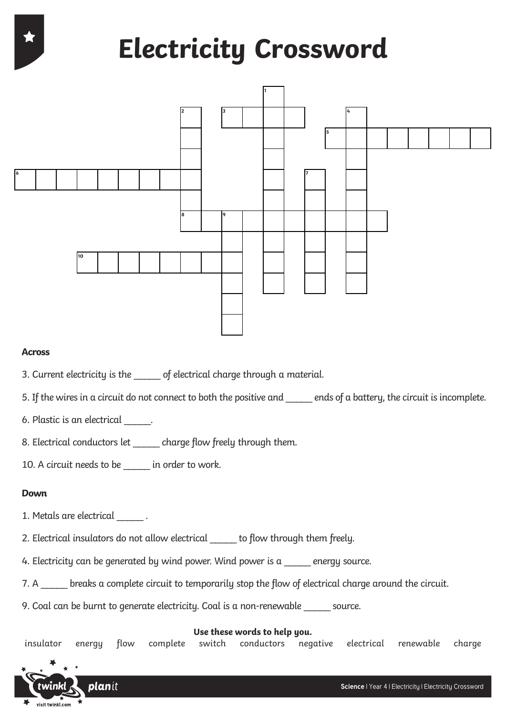# **Electricity Crossword**



## **Across**

- 3. Current electricity is the \_\_\_\_\_ of electrical charge through a material.
- 5. If the wires in a circuit do not connect to both the positive and ends of a battery, the circuit is incomplete.
- 6. Plastic is an electrical \_\_\_\_\_.
- 8. Electrical conductors let \_\_\_\_\_\_ charge flow freely through them.
- 10. A circuit needs to be \_\_\_\_\_ in order to work.

### **Down**

- 1. Metals are electrical \_\_\_\_\_ .
- 2. Electrical insulators do not allow electrical \_\_\_\_\_ to flow through them freely.
- 4. Electricity can be generated by wind power. Wind power is a  $\qquad$  energy source.
- 7. A breaks a complete circuit to temporarily stop the flow of electrical charge around the circuit.
- 9. Coal can be burnt to generate electricity. Coal is a non-renewable \_\_\_\_\_ source.

#### **Use these words to help you.**

insulator energy flow complete switch conductors negative electrical renewable charge

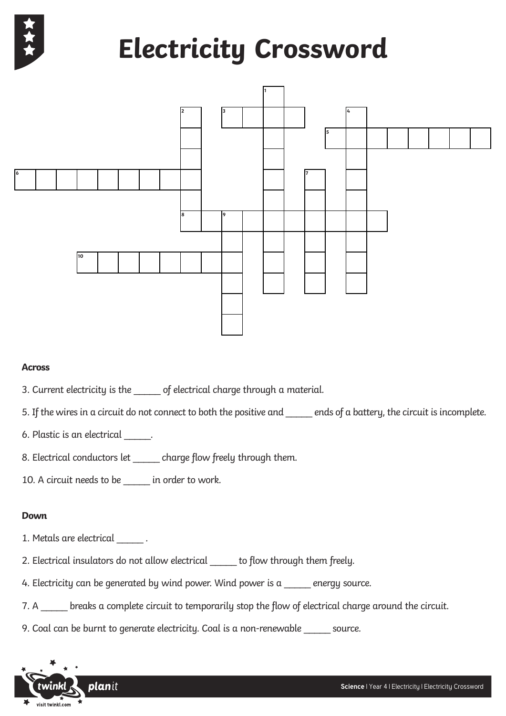

# **Electricity Crossword**



### **Across**

- 3. Current electricity is the \_\_\_\_\_ of electrical charge through a material.
- 5. If the wires in a circuit do not connect to both the positive and \_\_\_\_\_ ends of a battery, the circuit is incomplete.
- 6. Plastic is an electrical \_\_\_\_\_.
- 8. Electrical conductors let \_\_\_\_\_ charge flow freely through them.
- 10. A circuit needs to be \_\_\_\_\_ in order to work.

### **Down**

- 1. Metals are electrical \_\_\_\_\_\_.
- 2. Electrical insulators do not allow electrical \_\_\_\_\_ to flow through them freely.
- 4. Electricity can be generated by wind power. Wind power is a \_\_\_\_\_ energy source.
- 7. A \_\_\_\_\_ breaks a complete circuit to temporarily stop the flow of electrical charge around the circuit.
- 9. Coal can be burnt to generate electricity. Coal is a non-renewable \_\_\_\_\_ source.